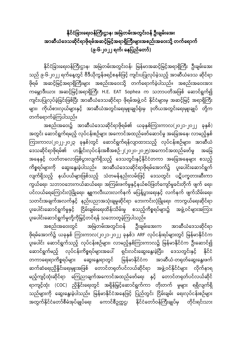**န ိုင်ငံခခာြားရ ြားဝန်က ြားဌာန၊ အမမြဲတမ်ြားအတွင်ြားဝန် ဦြားချမ်ြားရအြား**  အာဆီယံဒေသဆိုင်ရာဖိုရမ်အဆင့်မြင့်အရာရှိကြီးများအစည်းအဝေးသို့ တက်ရောက် **(၉-၆-၂၀၂၂ ်၊ ရနခြည်ရတာ်)**

နိုင်ငံခြားရေးဝန်ကြီးဌာန၊ အမြဲတမ်းအတွင်းဝန်၊ မြန်မာအဆင့်မြင့်အရာရှိကြီး ဦးချမ်းအေး သည် ၉-၆-၂၀၂၂ ရက်နေ့တွင် ဗီဒီယိုကွန်ဖရင့်စနစ်ဖြင့် ကျင်းပပြုလုပ်ခဲ့သည့် အာဆီယံဒေသ ဆိုင်ရာ ဖိုရမ် အဆင့်မြင့်အရာရှိကြီးများ အစည်းအဝေးသို့ တက်ရောက်ခဲ့ပါသည်။ အစည်းအဝေးအား ကမ္ဘောဒီးယား အဆင့်မြင့်အရာရှိကြီး H.E. EAT Sophea က သဘာပတိအဖြစ် ဆောင်ရွက်၍ ကျင်းပပြုလုပ်ခဲ့ခြင်းဖြစ်ပြီး အာဆီယံဒေသဆိုင်ရာ ဖိုရမ်အဖွဲ့ဝင် နိုင်ငံများမှ အဆင့်မြင့် အရာရှိကြီး များ၊ ကိုယ်စားလှယ်များနှင့် အာဆီယံအတွင်းရေးမှူးချုပ်ရုံးမှ ဒုတိယအတွင်းရေးမှူးချုပ် တို့က တက်ရောက်ခဲ့ကြပါသည်။

အစည်းအဝေး၌ အာဆီယံဒေသဆိုင်ရာဖိုရမ်၏ ယခုနှစ်ကြားကာလ(၂၀၂၁-၂၀၂၂ ခုနှစ်) အတွင်း ဆောင်ရွက်ရမည့် လုပ်ငန်းစဉ်များ အကောင်အထည်ဖော်ဆောင်မှု အခြေအနေ၊ လာမည့်နှစ် ကြားကာလ(၂၀၂၂-၂၀၂၃ ခုနှစ်)တွင် ဆောင်ရွက်ရန်လျာထားသည့် လုပ်ငန်းစဉ်များ၊ အာဆီယံ ရဒသဆှိိုင်ရာဖှိိုရမ်၏ ဟနွှိြုင်ြားလိုပ်ငန်ြားအစ အစဉ်-၂(၂၀၂၀-၂၀၂၅)အရ ာင်အထည်ရဖာ်မှု အရခခ အနေနှင့် လတ်တလောဖြစ်ပွားလျက်ရှိသည့် ဒေသတွင်းနှင့်နိုင်ငံတကာ အခြေအနေများ စသည့် ကိစ္စရပ်များကို ဆွေးနွေးခဲ့ပါသည်။ အာဆီယံဒေသဆိုင်ရာဖိုရမ်အောက်၌ ပူးပေါင်းဆောင်ရွက် လျက်ရှိသည့် နယ်ပယ်များဖြစ်သည့် သံတမန်နည်းလမ်းဖြင့် ဒေသတွင်း ပဋိပက္ခတားဆီးကာ ကွယ်ရေး၊ သဘာဝဘေးကယ်ဆယ်ရေး၊ အကြမ်းဖက်မှုနှင့်နယ်စပ်ဖြတ်ကျော်မူခင်းတိုက် ဖျက် ရေး၊ ပင်လယ်ရေကြောင်းလုံခြုံရေး၊ နျူကလီးယားလက်နက် မပြန့်ပွားရေးနှင့် လက်နက် ဖျက်သိမ်းရေး၊ သတင်းအချက်အလက်နှင့် နည်းပညာအသုံးချမှုဆိုင်ရာ ဘေးကင်းလုံခြုံရေး၊ ကာကွယ်ရေးဆိုင်ရာ ပူးပေါင်းဆောင်ရွက်မှုနှင့် ငြိမ်းချမ်းရေးထိန်းသိမ်းမှု စသည့်ကိစ္စရပ်များ၌ အဖွဲ့့ဝင်များအကြား ပူးပေါင်းဆောင်ရွက်မှုတို့ကိုမြှင့်တင်ရန် သဘောတူခဲ့ကြပါသည်။

အစည်းအဝေးတွင် အမြဲတမ်းအတွင်းဝန် ဦးချမ်းအေးက အာဆီယံဒေသဆိုင်ရာ ဖိုရမ်အောက်၌ ယခုနှစ် ကြားကာလ(၂၀၂၁-၂၀၂၂ ခုနှစ်)၊ ARF လုပ်ငန်းရပ်များတွင် မြန်မာနိုင်ငံက ပူးပေါင်း ဆောင်ရွက်သည့် လုပ်ငန်းစဉ်များ၊ လာမည့်နှစ်ကြားကာလ၌ မြန်မာနိုင်ငံက ဦးဆောင်၍ ရောင်ရွက်မည့် လုပ်ငန်းကိစ္စရပ်များအပေါ် ရှင်းလင်းဆွေးနွေးခဲ့ပြီး၊ ဒေသတွင်းနှင့် နိုင်ငံ တကာရေးရာကိစ္စရပ်များ ဆွေးနွေးရာတွင် မြန်မာနိုင်ငံက အာဆီယံ-တရုတ်ဆွေးနွေးဖက် ဆက်ဆံရေးညှိနိူင်းရေးမျုးအဖြစ် တောင်တရုတ်ပင်လယ်ဆိုင်ရာ အဖွဲ့့ဝင်နိုင်ငံများ လိုက်နာရ မည့်ကျင့်ထုံးဆိုင်ရာ ကြေညာချက်အကောင်အထည်ဖော်ရေး နှင့် တောင်တရုတ်ပင်လယ်ဆိုင် ရာကျင့်ထုံး (COC) ညှိနှိုင်းရေးတွင် အရှိန်မြှင့်ဆောင်ရွက်ကာ တိုးတက် မှုများ ရရှိလျက်ရှိ သည်များကို ဆွေးနွေးခဲ့ပါသည်။ မြန်မာနိုင်ငံအနေဖြင့် ပြည်တွင်း ငြိမ်းချမ်း ရေးလုပ်ငန်းစဉ်များ အတွက်နိုင်ငံတော်စီမံအုပ်ချုပ်ရေး ကောင်စီဥက္ကဌ၊ နိုင်ငံတော်ဝန်ကြီးချုပ်မှ တိုင်းရင်းသား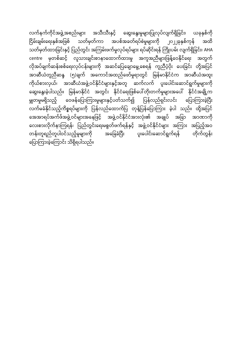လက်နက််ကိုင်အဖွဲ့အစည်းများ အသီးသီးနှင့် ဆွေးနွေးမှုများပြုလုပ်လျက်ရှိခြင်း၊ ယခုနှစ်ကို ငြိမ်းချမ်းရေးနှစ်အဖြစ် သတ်မှတ်ကာ အပစ်အခတ်ရပ်စဲမှုများကို ၂၀၂၂ခုနှစ်ကုန် အထိ သတ်မှတ်ထားခြင်းနှင့် ပြည်တွင်း အကြမ်းဖက်မှုလုပ်ရပ်များ ရပ်ဆိုင်းရန် ကြိုးပမ်း လျက်ရှိခြင်း၊ AHA centre မှတစ်ဆင့် လူသားချင်းစာနာထောက်ထားမှု အကူအညီများဖြန့်ဝေနိုင်ရေး အတွက် လိုအပ်ချက်ဆန်းစစ်ရေးလုပ်ငန်းများကို အဆင်ပြေချောမွေ့စေရန် ကူညီပံ့ပိုး ပေးခြင်း တို့အပြင် -<br>အာဆီယံတူညီဆန္ဒ (၅)ချက် အကောင်အထည်ဖော်မှုရာတွင် မြန်မာနိုင်ငံက အာဆီယံအထူး ကိုယ်စားလှယ်၊ အာဆီယံအဖွဲ့့ဝင်နိုင်ငံများနှင့်အတူ ဆက်လက် ပူးပေါင်းဆောင်ရွက်မှုများကို ရေားနွေးခဲ့ပါသည်။ မြန်မာနိုင်ငံ အတွင်း နိုင်ငံရေးဖြစ်ပေါ်တိုးတက်မှုများအပေါ် နိုင်ငံအချို့က မျှတမှုမရှိသည့် ဝေဖန်ပြောကြားမှုများနှင့်ပတ်သက်၍ ပြန်လည်ရှင်းလင်း ပြောကြားခဲ့ပြီး လက်မခံနိုင်သည့်ကိစ္စရပ်များကို ပြန်လည်ထောက်ပြ တုန့်ပြန်ပြောကြား ခဲ့ပါ သည်။ ထို့အပြင် အေအာရပ်အက်ဖ်အဖွဲ့ ဝင်များအနေဖြင့် အဖွဲ့ ဝင်နိုင်ငံအားလုံး၏ အချုပ် အခြာ အာဏာကို လေးစားလိုက်နာကြရန်၊ ပြည်တွင်းရေးမစွတ်ဖက်ရန်နှင့် အဖွဲ့ဝင်နိုင်ငံများ အကြား အပြည့်အဝ တန်းတူရည်တူပါဝင်သည့်မူများကို အခြေခံပြီး ပူးပေါင်းဆောင်ရွက်ရန် တိုက်တွန်း ရြာကြားခဲ့ကြောင်း သိရှိရပါသည်။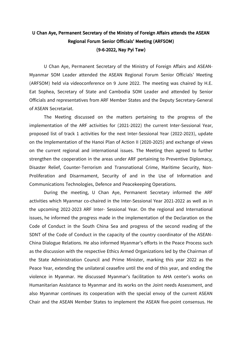## **U Chan Aye, Permanent Secretary of the Ministry of Foreign Affairs attends the ASEAN Regional Forum Senior Officials' Meeting (ARFSOM) (9-6-2022, Nay Pyi Taw)**

U Chan Aye, Permanent Secretary of the Ministry of Foreign Affairs and ASEAN-Myanmar SOM Leader attended the ASEAN Regional Forum Senior Officials' Meeting (ARFSOM) held via videoconference on 9 June 2022. The meeting was chaired by H.E. Eat Sophea, Secretary of State and Cambodia SOM Leader and attended by Senior Officials and representatives from ARF Member States and the Deputy Secretary-General of ASEAN Secretariat.

The Meeting discussed on the matters pertaining to the progress of the implementation of the ARF activities for (2021-2022) the current Inter-Sessional Year, proposed list of track 1 activities for the next Inter-Sessional Year (2022-2023), update on the Implementation of the Hanoi Plan of Action II (2020-2025) and exchange of views on the current regional and international issues. The Meeting then agreed to further strengthen the cooperation in the areas under ARF pertaining to Preventive Diplomacy, Disaster Relief, Counter-Terrorism and Transnational Crime, Maritime Security, Non-Proliferation and Disarmament, Security of and in the Use of Information and Communications Technologies, Defence and Peacekeeping Operations.

During the meeting, U Chan Aye, Permanent Secretary informed the ARF activities which Myanmar co-chaired in the Inter-Sessional Year 2021-2022 as well as in the upcoming 2022-2023 ARF Inter- Sessional Year. On the regional and International issues, he informed the progress made in the implementation of the Declaration on the Code of Conduct in the South China Sea and progress of the second reading of the SDNT of the Code of Conduct in the capacity of the country coordinator of the ASEAN-China Dialogue Relations. He also informed Myanmar's efforts in the Peace Process such as the discussion with the respective Ethics Armed Organizations led by the Chairman of the State Administration Council and Prime Minister, marking this year 2022 as the Peace Year, extending the unilateral ceasefire until the end of this year, and ending the violence in Myanmar. He discussed Myanmar's facilitation to AHA center's works on Humanitarian Assistance to Myanmar and its works on the Joint needs Assessment, and also Myanmar continues its cooperation with the special envoy of the current ASEAN Chair and the ASEAN Member States to implement the ASEAN five-point consensus. He